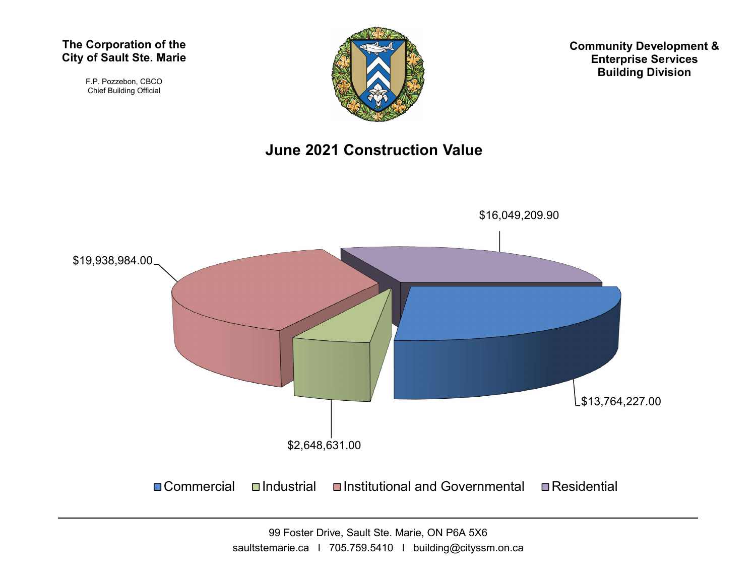#### The Corporation of the City of Sault Ste. Marie

F.P. Pozzebon, CBCO Chief Building Official



Community Development & Enterprise Services Building Division

#### June 2021 Construction Value

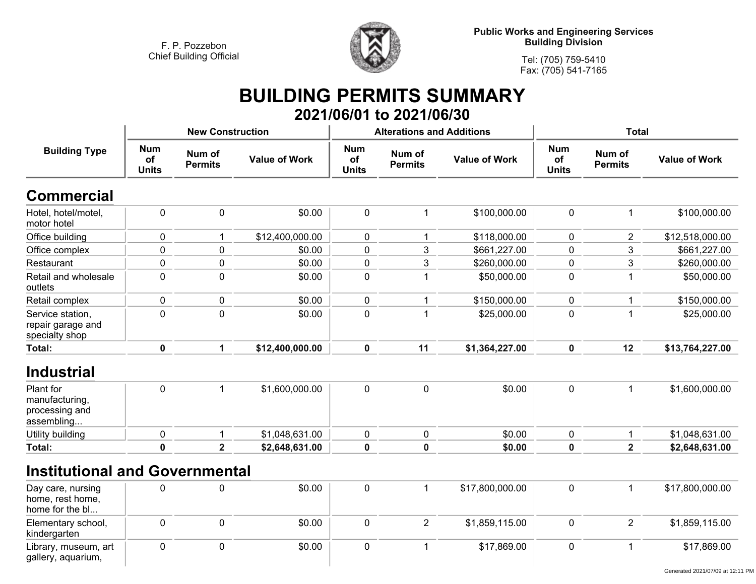

**Public Works and Engineering Services Building Division**

**Tel: (705) 759-5410 Fax: (705) 541-7165**

### **BUILDING PERMITS SUMMARY 2021/06/01 to 2021/06/30**

| <b>Building Type</b>                                     |                                  | <b>New Construction</b>  |                      |                                         | <b>Alterations and Additions</b> |                      | <b>Total</b>                     |                          |                      |
|----------------------------------------------------------|----------------------------------|--------------------------|----------------------|-----------------------------------------|----------------------------------|----------------------|----------------------------------|--------------------------|----------------------|
|                                                          | <b>Num</b><br>of<br><b>Units</b> | Num of<br><b>Permits</b> | <b>Value of Work</b> | <b>Num</b><br><b>of</b><br><b>Units</b> | Num of<br><b>Permits</b>         | <b>Value of Work</b> | <b>Num</b><br>of<br><b>Units</b> | Num of<br><b>Permits</b> | <b>Value of Work</b> |
| <b>Commercial</b>                                        |                                  |                          |                      |                                         |                                  |                      |                                  |                          |                      |
| Hotel, hotel/motel,<br>motor hotel                       | $\pmb{0}$                        | $\mathbf 0$              | \$0.00               | $\pmb{0}$                               | $\mathbf{1}$                     | \$100,000.00         | $\mathbf 0$                      | $\mathbf 1$              | \$100,000.00         |
| Office building                                          | $\pmb{0}$                        | $\mathbf 1$              | \$12,400,000.00      | 0                                       | $\mathbf 1$                      | \$118,000.00         | $\mathbf 0$                      | $\overline{2}$           | \$12,518,000.00      |
| Office complex                                           | $\pmb{0}$                        | $\mathbf 0$              | \$0.00               | 0                                       | 3                                | \$661,227.00         | $\mathbf 0$                      | 3                        | \$661,227.00         |
| Restaurant                                               | $\pmb{0}$                        | $\mathbf 0$              | \$0.00               | 0                                       | 3                                | \$260,000.00         | 0                                | 3                        | \$260,000.00         |
| Retail and wholesale<br>outlets                          | $\pmb{0}$                        | $\mathbf 0$              | \$0.00               | $\mathbf 0$                             | $\mathbf{1}$                     | \$50,000.00          | $\mathbf 0$                      | -1                       | \$50,000.00          |
| Retail complex                                           | $\pmb{0}$                        | $\pmb{0}$                | \$0.00               | 0                                       | 1                                | \$150,000.00         | $\pmb{0}$                        | 1                        | \$150,000.00         |
| Service station,<br>repair garage and<br>specialty shop  | $\mathbf 0$                      | $\overline{0}$           | \$0.00               | $\mathbf 0$                             | $\overline{1}$                   | \$25,000.00          | $\overline{0}$                   | $\overline{\mathbf{1}}$  | \$25,000.00          |
| <b>Total:</b>                                            | $\mathbf 0$                      | $\mathbf{1}$             | \$12,400,000.00      | $\mathbf 0$                             | 11                               | \$1,364,227.00       | $\mathbf 0$                      | 12                       | \$13,764,227.00      |
| <b>Industrial</b><br>Plant for                           | $\mathbf 0$                      | $\mathbf 1$              | \$1,600,000.00       | $\mathbf 0$                             | $\mathbf 0$                      | \$0.00               | $\mathbf 0$                      | $\mathbf{1}$             | \$1,600,000.00       |
| manufacturing,<br>processing and<br>assembling           |                                  |                          |                      |                                         |                                  |                      |                                  |                          |                      |
| Utility building                                         | $\mathbf 0$                      | $\mathbf{1}$             | \$1,048,631.00       | 0                                       | $\mathbf 0$                      | \$0.00               | $\pmb{0}$                        | $\mathbf{1}$             | \$1,048,631.00       |
| Total:                                                   | $\mathbf 0$                      | $\overline{2}$           | \$2,648,631.00       | $\mathbf 0$                             | $\mathbf 0$                      | \$0.00               | $\mathbf 0$                      | $\overline{2}$           | \$2,648,631.00       |
| <b>Institutional and Governmental</b>                    |                                  |                          |                      |                                         |                                  |                      |                                  |                          |                      |
| Day care, nursing<br>home, rest home,<br>home for the bl | 0                                | $\mathbf 0$              | \$0.00               | 0                                       | $\mathbf{1}$                     | \$17,800,000.00      | $\mathbf 0$                      | $\mathbf{1}$             | \$17,800,000.00      |
| Elementary school,<br>kindergarten                       | $\pmb{0}$                        | $\mathbf 0$              | \$0.00               | 0                                       | $\overline{2}$                   | \$1,859,115.00       | $\mathbf 0$                      | $\overline{2}$           | \$1,859,115.00       |
| Library, museum, art<br>gallery, aquarium,               | $\mathbf 0$                      | $\mathbf 0$              | \$0.00               | 0                                       | $\mathbf 1$                      | \$17,869.00          | $\mathbf 0$                      | $\overline{1}$           | \$17,869.00          |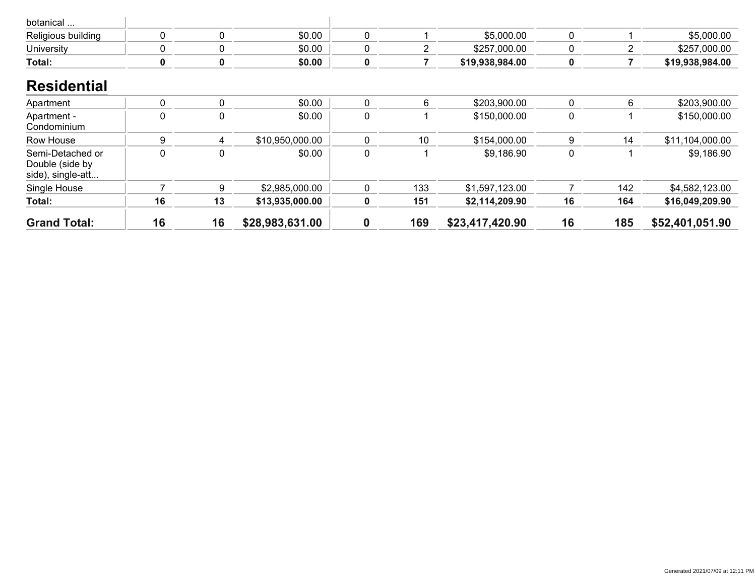| botanical                                                |             |    |                 |                  |     |                 |             |     |                 |
|----------------------------------------------------------|-------------|----|-----------------|------------------|-----|-----------------|-------------|-----|-----------------|
| Religious building                                       | 0           | 0  | \$0.00          | 0                |     | \$5,000.00      | 0           |     | \$5,000.00      |
| University                                               | $\mathbf 0$ | 0  | \$0.00          | 0                | 2   | \$257,000.00    | 0           | 2   | \$257,000.00    |
| Total:                                                   | $\pmb{0}$   | 0  | \$0.00          | 0                | 7   | \$19,938,984.00 | 0           |     | \$19,938,984.00 |
| <b>Residential</b>                                       |             |    |                 |                  |     |                 |             |     |                 |
| Apartment                                                | 0           | 0  | \$0.00          | 0                | 6   | \$203,900.00    | 0           | 6   | \$203,900.00    |
| Apartment -<br>Condominium                               | 0           | 0  | \$0.00          | 0                |     | \$150,000.00    | $\mathbf 0$ |     | \$150,000.00    |
| Row House                                                | 9           | 4  | \$10,950,000.00 | $\mathbf{0}$     | 10  | \$154,000.00    | 9           | 14  | \$11,104,000.00 |
| Semi-Detached or<br>Double (side by<br>side), single-att | $\mathbf 0$ | 0  | \$0.00          | 0                |     | \$9,186.90      | 0           |     | \$9,186.90      |
| Single House                                             |             | 9  | \$2,985,000.00  | $\mathbf{0}$     | 133 | \$1,597,123.00  |             | 142 | \$4,582,123.00  |
| Total:                                                   | 16          | 13 | \$13,935,000.00 | 0                | 151 | \$2,114,209.90  | 16          | 164 | \$16,049,209.90 |
| <b>Grand Total:</b>                                      | 16          | 16 | \$28,983,631.00 | $\boldsymbol{0}$ | 169 | \$23,417,420.90 | 16          | 185 | \$52,401,051.90 |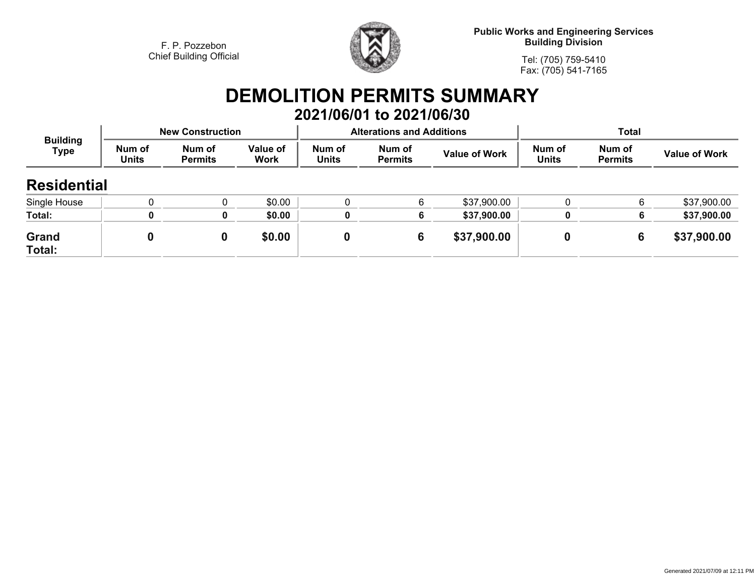

**Public Works and Engineering Services Building Division**

**Tel: (705) 759-5410Fax: (705) 541-7165**

## **DEMOLITION PERMITS SUMMARY 2021/06/01 to 2021/06/30**

| <b>Building</b><br><b>Type</b> | <b>New Construction</b> |                          |                         |                        | <b>Alterations and Additions</b> |                      | <b>Total</b>           |                          |                      |
|--------------------------------|-------------------------|--------------------------|-------------------------|------------------------|----------------------------------|----------------------|------------------------|--------------------------|----------------------|
|                                | Num of<br><b>Units</b>  | Num of<br><b>Permits</b> | Value of<br><b>Work</b> | Num of<br><b>Units</b> | Num of<br><b>Permits</b>         | <b>Value of Work</b> | Num of<br><b>Units</b> | Num of<br><b>Permits</b> | <b>Value of Work</b> |
| <b>Residential</b>             |                         |                          |                         |                        |                                  |                      |                        |                          |                      |
| Single House                   |                         |                          | \$0.00                  |                        |                                  | \$37,900.00          |                        | 6                        | \$37,900.00          |
| Total:                         |                         | O                        | \$0.00                  |                        |                                  | \$37,900.00          | 0                      | 6                        | \$37,900.00          |
| Grand<br>Total:                |                         | 0                        | \$0.00                  | 0                      | 6                                | \$37,900.00          |                        | 6                        | \$37,900.00          |